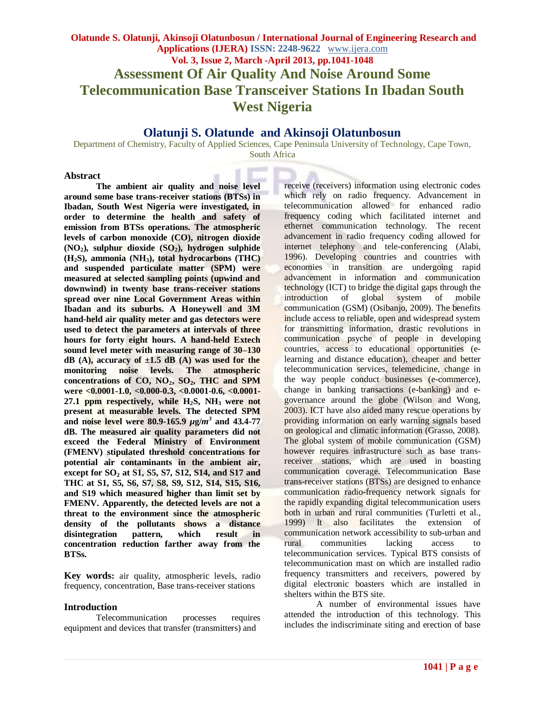# **Olatunji S. Olatunde and Akinsoji Olatunbosun**

Department of Chemistry, Faculty of Applied Sciences, Cape Peninsula University of Technology, Cape Town, South Africa

#### **Abstract**

**The ambient air quality and noise level around some base trans-receiver stations (BTSs) in Ibadan, South West Nigeria were investigated, in order to determine the health and safety of emission from BTSs operations. The atmospheric levels of carbon monoxide (CO), nitrogen dioxide (NO2), sulphur dioxide (SO2), hydrogen sulphide (H2S), ammonia (NH3), total hydrocarbons (THC) and suspended particulate matter (SPM) were measured at selected sampling points (upwind and downwind) in twenty base trans-receiver stations spread over nine Local Government Areas within Ibadan and its suburbs. A Honeywell and 3M hand-held air quality meter and gas detectors were used to detect the parameters at intervals of three hours for forty eight hours. A hand-held Extech sound level meter with measuring range of 30–130 dB** (A), accuracy of  $\pm 1.5$  **dB** (A) was used for the **monitoring noise levels. The atmospheric concentrations of CO, NO2, SO2, THC and SPM were <0.0001-1.0, <0.000-0.3, <0.0001-0.6, <0.0001- 27.1 ppm respectively, while H2S, NH3 were not present at measurable levels. The detected SPM and noise level were 80.9-165.9** *µ***g/***m 3* **and 43.4-77 dB. The measured air quality parameters did not exceed the Federal Ministry of Environment (FMENV) stipulated threshold concentrations for potential air contaminants in the ambient air, except for SO<sup>2</sup> at S1, S5, S7, S12, S14, and S17 and THC at S1, S5, S6, S7, S8, S9, S12, S14, S15, S16, and S19 which measured higher than limit set by FMENV. Apparently, the detected levels are not a threat to the environment since the atmospheric density of the pollutants shows a distance disintegration pattern, which result in concentration reduction farther away from the BTSs.** 

**Key words:** air quality, atmospheric levels, radio frequency, concentration, Base trans-receiver stations

# **Introduction**

Telecommunication processes requires equipment and devices that transfer (transmitters) and

receive (receivers) information using electronic codes which rely on radio frequency. Advancement in telecommunication allowed for enhanced radio frequency coding which facilitated internet and ethernet communication technology. The recent advancement in radio frequency coding allowed for internet telephony and tele-conferencing (Alabi, 1996). Developing countries and countries with economies in transition are undergoing rapid advancement in information and communication technology (ICT) to bridge the digital gaps through the introduction of global system of mobile communication (GSM) (Osibanjo, 2009). The benefits include access to reliable, open and widespread system for transmitting information, drastic revolutions in communication psyche of people in developing countries, access to educational opportunities (elearning and distance education), cheaper and better telecommunication services, telemedicine, change in the way people conduct businesses (e-commerce), change in banking transactions (e-banking) and egovernance around the globe (Wilson and Wong, 2003). ICT have also aided many rescue operations by providing information on early warning signals based on geological and climatic information (Grasso, 2008). The global system of mobile communication (GSM) however requires infrastructure such as base transreceiver stations, which are used in boasting communication coverage. Telecommunication Base trans-receiver stations (BTSs) are designed to enhance communication radio-frequency network signals for the rapidly expanding digital telecommunication users both in urban and rural communities (Turletti et al., 1999) It also facilitates the extension of communication network accessibility to sub-urban and rural communities lacking access to telecommunication services. Typical BTS consists of telecommunication mast on which are installed radio frequency transmitters and receivers, powered by digital electronic boasters which are installed in shelters within the BTS site.

A number of environmental issues have attended the introduction of this technology. This includes the indiscriminate siting and erection of base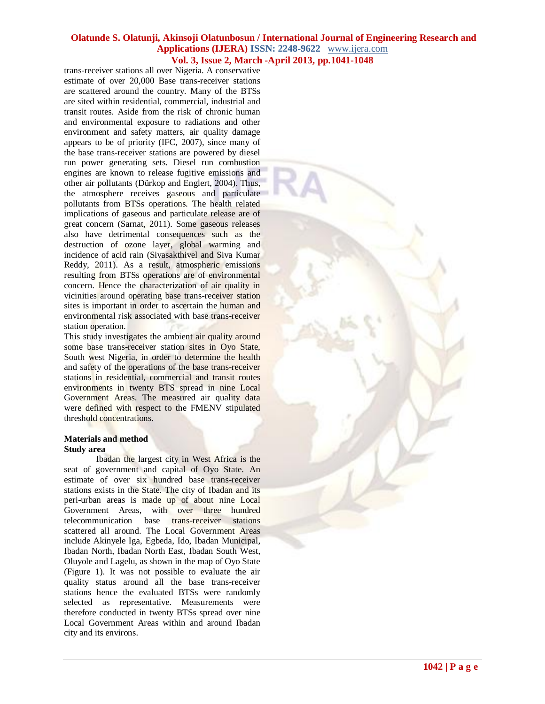trans-receiver stations all over Nigeria. A conservative estimate of over 20,000 Base trans-receiver stations are scattered around the country. Many of the BTSs are sited within residential, commercial, industrial and transit routes. Aside from the risk of chronic human and environmental exposure to radiations and other environment and safety matters, air quality damage appears to be of priority (IFC, 2007), since many of the base trans-receiver stations are powered by diesel run power generating sets. Diesel run combustion engines are known to release fugitive emissions and other air pollutants (Dürkop and Englert, 2004). Thus, the atmosphere receives gaseous and particulate pollutants from BTSs operations. The health related implications of gaseous and particulate release are of great concern (Sarnat, 2011). Some gaseous releases also have detrimental consequences such as the destruction of ozone layer, global warming and incidence of acid rain (Sivasakthivel and Siva Kumar Reddy, 2011). As a result, atmospheric emissions resulting from BTSs operations are of environmental concern. Hence the characterization of air quality in vicinities around operating base trans-receiver station sites is important in order to ascertain the human and environmental risk associated with base trans-receiver station operation.

This study investigates the ambient air quality around some base trans-receiver station sites in Oyo State, South west Nigeria, in order to determine the health and safety of the operations of the base trans-receiver stations in residential, commercial and transit routes environments in twenty BTS spread in nine Local Government Areas. The measured air quality data were defined with respect to the FMENV stipulated threshold concentrations.

#### **Materials and method Study area**

Ibadan the largest city in West Africa is the seat of government and capital of Oyo State. An estimate of over six hundred base trans-receiver stations exists in the State. The city of Ibadan and its peri-urban areas is made up of about nine Local Government Areas, with over three hundred telecommunication base trans-receiver stations scattered all around. The Local Government Areas include Akinyele Iga, Egbeda, Ido, Ibadan Municipal, Ibadan North, Ibadan North East, Ibadan South West, Oluyole and Lagelu, as shown in the map of Oyo State (Figure 1). It was not possible to evaluate the air quality status around all the base trans-receiver stations hence the evaluated BTSs were randomly selected as representative. Measurements were therefore conducted in twenty BTSs spread over nine Local Government Areas within and around Ibadan city and its environs.

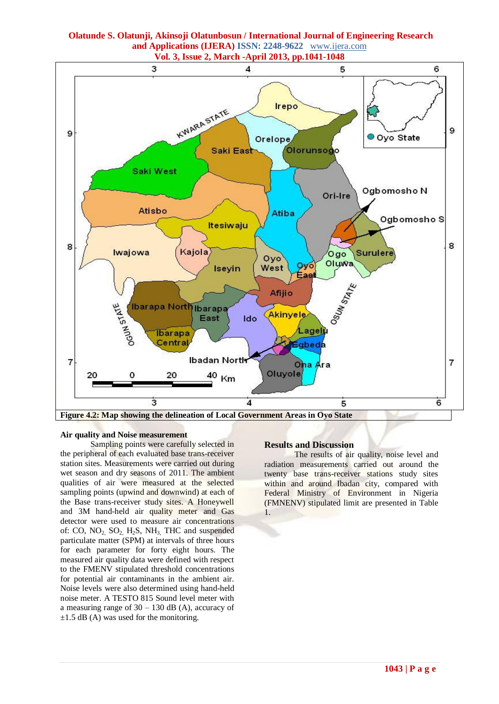

# **Olatunde S. Olatunji, Akinsoji Olatunbosun / International Journal of Engineering Research and Applications (IJERA) ISSN: 2248-9622** www.ijera.com

#### **Air quality and Noise measurement**

Sampling points were carefully selected in the peripheral of each evaluated base trans-receiver station sites. Measurements were carried out during wet season and dry seasons of 2011. The ambient qualities of air were measured at the selected sampling points (upwind and downwind) at each of the Base trans-receiver study sites. A Honeywell and 3M hand-held air quality meter and Gas detector were used to measure air concentrations of: CO,  $NO_2$ ,  $SO_2$ ,  $H_2S$ ,  $NH_3$ , THC and suspended particulate matter (SPM) at intervals of three hours for each parameter for forty eight hours. The measured air quality data were defined with respect to the FMENV stipulated threshold concentrations for potential air contaminants in the ambient air. Noise levels were also determined using hand-held noise meter. A TESTO 815 Sound level meter with a measuring range of  $30 - 130$  dB (A), accuracy of  $\pm 1.5$  dB (A) was used for the monitoring.

#### **Results and Discussion**

The results of air quality, noise level and radiation measurements carried out around the twenty base trans-receiver stations study sites within and around Ibadan city, compared with Federal Ministry of Environment in Nigeria (FMNENV) stipulated limit are presented in Table 1.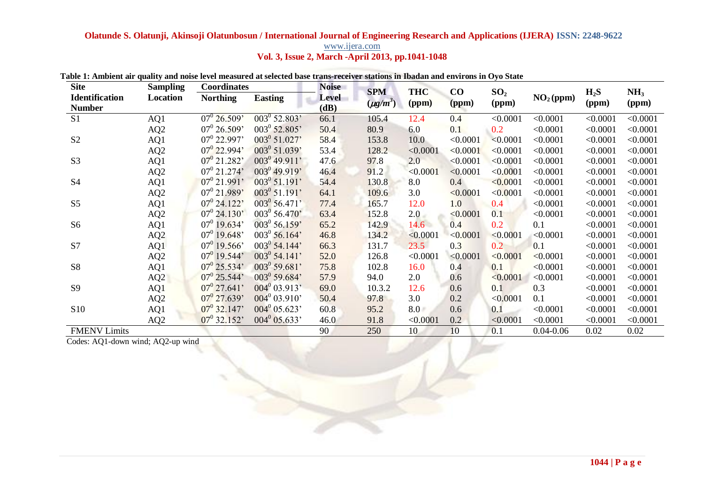# **Olatunde S. Olatunji, Akinsoji Olatunbosun / International Journal of Engineering Research and Applications (IJERA) ISSN: 2248-9622**  www.ijera.com

**Vol. 3, Issue 2, March -April 2013, pp.1041-1048**

| <b>Site</b>           | <b>Sampling</b> | Coordinates             |                           | <b>Noise</b> | <b>SPM</b>    | <b>THC</b> | CO       |                 |                       | $H_2S$   | NH <sub>3</sub> |
|-----------------------|-----------------|-------------------------|---------------------------|--------------|---------------|------------|----------|-----------------|-----------------------|----------|-----------------|
| <b>Identification</b> | Location        | <b>Northing</b>         | <b>Easting</b>            | <b>Level</b> |               |            |          | SO <sub>2</sub> | NO <sub>2</sub> (ppm) |          |                 |
| <b>Number</b>         |                 |                         |                           | (dB)         | $(\mu g/m^3)$ | (ppm)      | (ppm)    | (ppm)           |                       | (ppm)    | (ppm)           |
| S <sub>1</sub>        | AQ1             | $07^{\circ} 26.509'$    | $\overline{003^0 52.803}$ | 66.1         | 105.4         | 12.4       | 0.4      | < 0.0001        | < 0.0001              | < 0.0001 | < 0.0001        |
|                       | AQ2             | $07^{\circ} 26.509'$    | 003 <sup>0</sup> 52.805'  | 50.4         | 80.9          | 6.0        | 0.1      | 0.2             | < 0.0001              | < 0.0001 | < 0.0001        |
| S <sub>2</sub>        | AQ1             | $07^0$ 22.997'          | 003 <sup>0</sup> 51.027'  | 58.4         | 153.8         | 10.0       | < 0.0001 | < 0.0001        | < 0.0001              | < 0.0001 | < 0.0001        |
|                       | AQ2             | $07^{\circ}$ 22.994'    | 003 <sup>0</sup> 51.039'  | 53.4         | 128.2         | < 0.0001   | < 0.0001 | < 0.0001        | < 0.0001              | < 0.0001 | < 0.0001        |
| S <sub>3</sub>        | AQ1             | $07^{\circ}$ 21.282'    | $003^0$ 49.911'           | 47.6         | 97.8          | 2.0        | < 0.0001 | < 0.0001        | < 0.0001              | < 0.0001 | < 0.0001        |
|                       | AQ <sub>2</sub> | $07^{\circ}$ 21.274'    | 003 <sup>0</sup> 49.919'  | 46.4         | 91.2          | < 0.0001   | < 0.0001 | < 0.0001        | < 0.0001              | < 0.0001 | < 0.0001        |
| <b>S4</b>             | AQ1             | $07^0$ 21.991'          | $003^0$ 51.191'           | 54.4         | 130.8         | 8.0        | 0.4      | < 0.0001        | < 0.0001              | < 0.0001 | < 0.0001        |
|                       | AQ <sub>2</sub> | 07 <sup>0</sup> 21.989' | $003^0$ 51.191'           | 64.1         | 109.6         | 3.0        | < 0.0001 | < 0.0001        | < 0.0001              | < 0.0001 | < 0.0001        |
| S <sub>5</sub>        | AQ1             | $07^{\circ}$ 24.122'    | 003 <sup>0</sup> 56.471'  | 77.4         | 165.7         | 12.0       | 1.0      | 0.4             | < 0.0001              | < 0.0001 | < 0.0001        |
|                       | AQ <sub>2</sub> | $07^{\circ}$ 24.130'    | 003 <sup>0</sup> 56.470'  | 63.4         | 152.8         | 2.0        | < 0.0001 | 0.1             | < 0.0001              | < 0.0001 | < 0.0001        |
| S <sub>6</sub>        | AQ1             | $07^{\circ}$ 19.634'    | 003 <sup>0</sup> 56.159'  | 65.2         | 142.9         | 14.6       | 0.4      | 0.2             | 0.1                   | < 0.0001 | < 0.0001        |
|                       | AQ <sub>2</sub> | $07^0$ 19.648'          | $003^0$ 56.164'           | 46.8         | 134.2         | < 0.0001   | < 0.0001 | < 0.0001        | < 0.0001              | < 0.0001 | < 0.0001        |
| S7                    | AQ1             | $07^0$ 19.566'          | $003^0$ 54.144'           | 66.3         | 131.7         | 23.5       | 0.3      | 0.2             | 0.1                   | < 0.0001 | < 0.0001        |
|                       | AQ2             | $07^0$ 19.544'          | $003^0$ 54.141'           | 52.0         | 126.8         | < 0.0001   | < 0.0001 | < 0.0001        | < 0.0001              | < 0.0001 | < 0.0001        |
| <b>S8</b>             | AQ1             | $07^{\circ}$ 25.534'    | $003^0$ 59.681'           | 75.8         | 102.8         | 16.0       | 0.4      | 0.1             | < 0.0001              | < 0.0001 | < 0.0001        |
|                       | AQ2             | $07^{\circ}$ 25.544'    | 003 <sup>0</sup> 59.684'  | 57.9         | 94.0          | 2.0        | 0.6      | < 0.0001        | < 0.0001              | < 0.0001 | < 0.0001        |
| <b>S9</b>             | AQ1             | $07^{\circ}$ 27.641'    | $004^0$ 03.913'           | 69.0         | 10.3.2        | 12.6       | 0.6      | 0.1             | 0.3                   | < 0.0001 | < 0.0001        |
|                       | AQ2             | $07^{\circ}$ 27.639'    | $004^0$ 03.910'           | 50.4         | 97.8          | 3.0        | 0.2      | < 0.0001        | 0.1                   | < 0.0001 | < 0.0001        |
| S10                   | AQ1             | $07^{\circ}$ 32.147'    | $004^0$ 05.623'           | 60.8         | 95.2          | 8.0        | 0.6      | 0.1             | < 0.0001              | < 0.0001 | < 0.0001        |
|                       | AQ <sub>2</sub> | $07^0$ 32.152           | $004^0$ 05.633'           | 46.0         | 91.8          | < 0.0001   | 0.2      | < 0.0001        | < 0.0001              | < 0.0001 | < 0.0001        |
| <b>FMENV Limits</b>   |                 |                         |                           | 90           | 250           | 10         | 10       | 0.1             | $0.04 - 0.06$         | 0.02     | 0.02            |

### **Table 1: Ambient air quality and noise level measured at selected base trans-receiver stations in Ibadan and environs in Oyo State**

Codes: AQ1-down wind; AQ2-up wind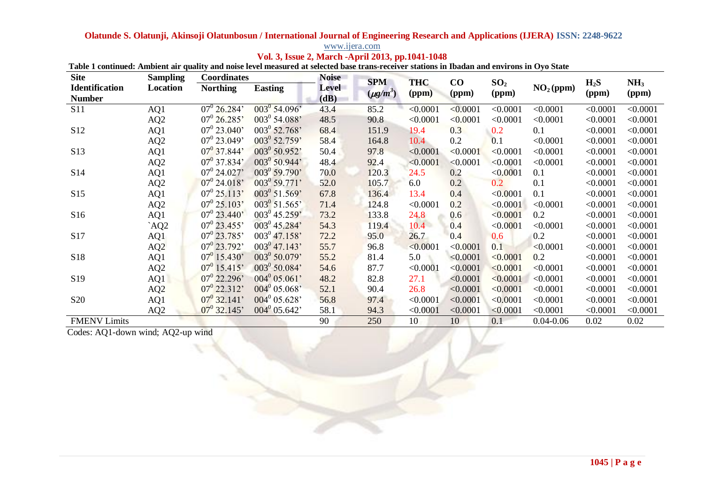# **Olatunde S. Olatunji, Akinsoji Olatunbosun / International Journal of Engineering Research and Applications (IJERA) ISSN: 2248-9622**

| www.ijera.com                                    |  |
|--------------------------------------------------|--|
| Vol. 3, Issue 2, March -April 2013, pp.1041-1048 |  |

| <b>Site</b>           | <b>Sampling</b> | <b>Coordinates</b>   |                          | <b>Noise</b> | <b>SPM</b>    | <b>THC</b> | $\bf CO$ |                          |                       | $H_2S$   |                 |
|-----------------------|-----------------|----------------------|--------------------------|--------------|---------------|------------|----------|--------------------------|-----------------------|----------|-----------------|
| <b>Identification</b> | Location        | <b>Northing</b>      | <b>Easting</b>           | <b>Level</b> | $(\mu g/m^3)$ |            |          | SO <sub>2</sub><br>(ppm) | NO <sub>2</sub> (ppm) |          | NH <sub>3</sub> |
| <b>Number</b>         |                 |                      |                          | (dB)         |               | (ppm)      | (ppm)    |                          |                       | (ppm)    | (ppm)           |
| <b>S11</b>            | AQ1             | $07^0$ 26.284'       | $003^0$ 54.096'          | 43.4         | 85.2          | < 0.0001   | < 0.0001 | < 0.0001                 | < 0.0001              | < 0.0001 | < 0.0001        |
|                       | AQ <sub>2</sub> | $07^0$ 26.285'       | $003^0$ 54.088'          | 48.5         | 90.8          | < 0.0001   | < 0.0001 | < 0.0001                 | < 0.0001              | < 0.0001 | < 0.0001        |
| S <sub>12</sub>       | AQ1             | $07^0$ 23.040'       | 003 <sup>0</sup> 52.768' | 68.4         | 151.9         | 19.4       | 0.3      | 0.2                      | 0.1                   | < 0.0001 | < 0.0001        |
|                       | AQ <sub>2</sub> | $07^0$ 23.049'       | 003 <sup>0</sup> 52.759' | 58.4         | 164.8         | 10.4       | 0.2      | 0.1                      | < 0.0001              | < 0.0001 | < 0.0001        |
| S <sub>13</sub>       | AQ1             | $07^{\circ}$ 37.844' | 003 <sup>0</sup> 50.952' | 50.4         | 97.8          | < 0.0001   | < 0.0001 | < 0.0001                 | < 0.0001              | < 0.0001 | < 0.0001        |
|                       | AQ <sub>2</sub> | $07^{\circ}$ 37.834' | $003^0$ 50.944'          | 48.4         | 92.4          | < 0.0001   | < 0.0001 | < 0.0001                 | < 0.0001              | < 0.0001 | < 0.0001        |
| S14                   | AQ1             | $07^{\circ}$ 24.027' | 003 <sup>0</sup> 59.790' | 70.0         | 120.3         | 24.5       | 0.2      | < 0.0001                 | 0.1                   | < 0.0001 | < 0.0001        |
|                       | AQ <sub>2</sub> | $07^0$ 24.018'       | $003^0$ 59.771'          | 52.0         | 105.7         | 6.0        | 0.2      | 0.2                      | 0.1                   | < 0.0001 | < 0.0001        |
| S15                   | AQ1             | $07^0$ 25.113'       | $003^0$ 51.569'          | 67.8         | 136.4         | 13.4       | 0.4      | < 0.0001                 | 0.1                   | < 0.0001 | < 0.0001        |
|                       | AQ <sub>2</sub> | $07^{\circ} 25.103'$ | $003^0$ 51.565'          | 71.4         | 124.8         | < 0.0001   | 0.2      | < 0.0001                 | < 0.0001              | < 0.0001 | < 0.0001        |
| S16                   | AQ1             | $07^{\circ}$ 23.440' | $003^0$ 45.259'          | 73.2         | 133.8         | 24.8       | 0.6      | < 0.0001                 | 0.2                   | < 0.0001 | < 0.0001        |
|                       | AQ2             | $07^0$ 23.455'       | 003 <sup>0</sup> 45.284' | 54.3         | 119.4         | 10.4       | 0.4      | < 0.0001                 | < 0.0001              | < 0.0001 | < 0.0001        |
| S17                   | AQ1             | $07^0$ 23.785'       | $003^{0}$ 47.158'        | 72.2         | 95.0          | 26.7       | 0.4      | 0.6                      | 0.2                   | < 0.0001 | < 0.0001        |
|                       | AQ2             | $07^0$ 23.792'       | $003^0$ 47.143'          | 55.7         | 96.8          | < 0.0001   | < 0.0001 | 0.1                      | < 0.0001              | < 0.0001 | < 0.0001        |
| S18                   | AQ1             | $07^0$ 15.430'       | 003 <sup>0</sup> 50.079' | 55.2         | 81.4          | 5.0        | < 0.0001 | < 0.0001                 | 0.2                   | < 0.0001 | < 0.0001        |
|                       | AQ <sub>2</sub> | $07^0$ 15.415'       | $003^0$ 50.084'          | 54.6         | 87.7          | < 0.0001   | < 0.0001 | < 0.0001                 | < 0.0001              | < 0.0001 | < 0.0001        |
| S <sub>19</sub>       | AQ1             | $07^0$ 22.296'       | $004^{0} 05.061'$        | 48.2         | 82.8          | 27.1       | < 0.0001 | < 0.0001                 | < 0.0001              | < 0.0001 | < 0.0001        |
|                       | AQ <sub>2</sub> | $07^0$ 22.312'       | $004^0$ 05.068           | 52.1         | 90.4          | 26.8       | < 0.0001 | < 0.0001                 | < 0.0001              | < 0.0001 | < 0.0001        |
| <b>S20</b>            | AQ1             | $07^{\circ}$ 32.141' | $004^0$ 05.628'          | 56.8         | 97.4          | < 0.0001   | < 0.0001 | < 0.0001                 | < 0.0001              | < 0.0001 | < 0.0001        |
|                       | AQ <sub>2</sub> | $07^{\circ}$ 32.145' | $004^0$ 05.642'          | 58.1         | 94.3          | < 0.0001   | < 0.0001 | < 0.0001                 | < 0.0001              | < 0.0001 | < 0.0001        |
| <b>FMENV Limits</b>   |                 |                      |                          | 90           | 250           | 10         | 10       | 0.1                      | $0.04 - 0.06$         | 0.02     | 0.02            |

| Table 1 continued: Ambient air quality and noise level measured at selected base trans-receiver stations in Ibadan and environs in Oyo State |  |  |  |  |
|----------------------------------------------------------------------------------------------------------------------------------------------|--|--|--|--|

Codes: AQ1-down wind; AQ2-up wind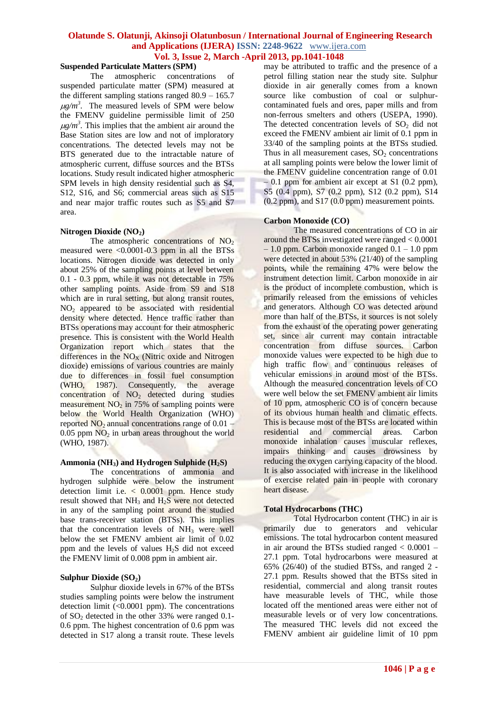# **Suspended Particulate Matters (SPM)**

The atmospheric concentrations of suspended particulate matter (SPM) measured at the different sampling stations ranged 80.9 – 165.7  $\mu$ g/m<sup>3</sup>. The measured levels of SPM were below the FMENV guideline permissible limit of 250  $\mu$ g/m<sup>3</sup>. This implies that the ambient air around the Base Station sites are low and not of imploratory concentrations. The detected levels may not be BTS generated due to the intractable nature of atmospheric current, diffuse sources and the BTSs locations. Study result indicated higher atmospheric SPM levels in high density residential such as S4, S12, S16, and S6; commercial areas such as S15 and near major traffic routes such as S5 and S7 area.

#### **Nitrogen Dioxide (NO2)**

The atmospheric concentrations of  $NO<sub>2</sub>$ measured were <0.0001-0.3 ppm in all the BTSs locations. Nitrogen dioxide was detected in only about 25% of the sampling points at level between 0.1 - 0.3 ppm, while it was not detectable in 75% other sampling points. Aside from S9 and S18 which are in rural setting, but along transit routes,  $NO<sub>2</sub>$  appeared to be associated with residential density where detected. Hence traffic rather than BTSs operations may account for their atmospheric presence. This is consistent with the World Health Organization report which states that the differences in the  $NO<sub>x</sub>$  (Nitric oxide and Nitrogen) dioxide) emissions of various countries are mainly due to differences in fossil fuel consumption (WHO, 1987). Consequently, the average  $concentration$  of  $NO<sub>2</sub>$  detected during studies measurement  $NO<sub>2</sub>$  in 75% of sampling points were below the World Health Organization (WHO) reported  $NO<sub>2</sub>$  annual concentrations range of 0.01 –  $0.05$  ppm  $NO<sub>2</sub>$  in urban areas throughout the world (WHO, 1987).

# **Ammonia (NH3) and Hydrogen Sulphide (H2S)**

The concentrations of ammonia and hydrogen sulphide were below the instrument detection limit i.e.  $\lt$  0.0001 ppm. Hence study result showed that NH<sub>3</sub> and H<sub>2</sub>S were not detected in any of the sampling point around the studied base trans-receiver station (BTSs). This implies that the concentration levels of  $NH<sub>3</sub>$  were well below the set FMENV ambient air limit of 0.02 ppm and the levels of values  $H<sub>2</sub>S$  did not exceed the FMENV limit of 0.008 ppm in ambient air.

# **Sulphur Dioxide (SO2)**

Sulphur dioxide levels in 67% of the BTSs studies sampling points were below the instrument detection limit (<0.0001 ppm). The concentrations of  $SO_2$  detected in the other 33% were ranged 0.1-0.6 ppm. The highest concentration of 0.6 ppm was detected in S17 along a transit route. These levels may be attributed to traffic and the presence of a petrol filling station near the study site. Sulphur dioxide in air generally comes from a known source like combustion of coal or sulphurcontaminated fuels and ores, paper mills and from non-ferrous smelters and others (USEPA, 1990). The detected concentration levels of  $SO<sub>2</sub>$  did not exceed the FMENV ambient air limit of 0.1 ppm in 33/40 of the sampling points at the BTSs studied. Thus in all measurement cases,  $SO<sub>2</sub>$  concentrations at all sampling points were below the lower limit of the FMENV guideline concentration range of 0.01  $-0.1$  ppm for ambient air except at S1 (0.2 ppm), S5 (0.4 ppm), S7 (0.2 ppm), S12 (0.2 ppm), S14 (0.2 ppm), and S17 (0.0 ppm) measurement points.

# **Carbon Monoxide (CO)**

The measured concentrations of CO in air around the BTSs investigated were ranged < 0.0001 – 1.0 ppm. Carbon monoxide ranged 0.1 – 1.0 ppm were detected in about 53% (21/40) of the sampling points, while the remaining 47% were below the instrument detection limit. Carbon monoxide in air is the product of incomplete combustion, which is primarily released from the emissions of vehicles and generators. Although CO was detected around more than half of the BTSs, it sources is not solely from the exhaust of the operating power generating set, since air current may contain intractable concentration from diffuse sources. Carbon monoxide values were expected to be high due to high traffic flow and continuous releases of vehicular emissions in around most of the BTSs. Although the measured concentration levels of CO were well below the set FMENV ambient air limits of 10 ppm, atmospheric CO is of concern because of its obvious human health and climatic effects. This is because most of the BTSs are located within residential and commercial areas. Carbon monoxide inhalation causes muscular reflexes, impairs thinking and causes drowsiness by reducing the oxygen carrying capacity of the blood. It is also associated with increase in the likelihood of exercise related pain in people with coronary heart disease.

# **Total Hydrocarbons (THC)**

Total Hydrocarbon content (THC) in air is primarily due to generators and vehicular emissions. The total hydrocarbon content measured in air around the BTSs studied ranged  $< 0.0001 -$ 27.1 ppm. Total hydrocarbons were measured at 65% (26/40) of the studied BTSs, and ranged 2 - 27.1 ppm. Results showed that the BTSs sited in residential, commercial and along transit routes have measurable levels of THC, while those located off the mentioned areas were either not of measurable levels or of very low concentrations. The measured THC levels did not exceed the FMENV ambient air guideline limit of 10 ppm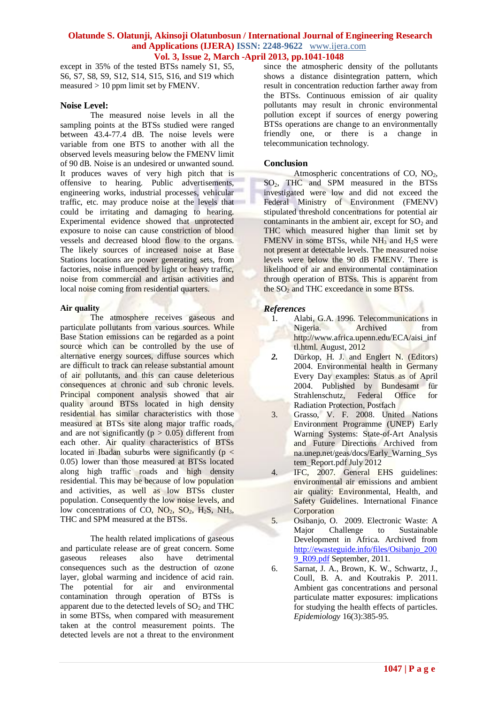except in 35% of the tested BTSs namely S1, S5, S6, S7, S8, S9, S12, S14, S15, S16, and S19 which measured > 10 ppm limit set by FMENV.

### **Noise Level:**

The measured noise levels in all the sampling points at the BTSs studied were ranged between 43.4-77.4 dB. The noise levels were variable from one BTS to another with all the observed levels measuring below the FMENV limit of 90 dB. Noise is an undesired or unwanted sound. It produces waves of very high pitch that is offensive to hearing. Public advertisements, engineering works, industrial processes, vehicular traffic, etc. may produce noise at the levels that could be irritating and damaging to hearing. Experimental evidence showed that unprotected exposure to noise can cause constriction of blood vessels and decreased blood flow to the organs. The likely sources of increased noise at Base Stations locations are power generating sets, from factories, noise influenced by light or heavy traffic, noise from commercial and artisan activities and local noise coming from residential quarters.

# **Air quality**

The atmosphere receives gaseous and particulate pollutants from various sources. While Base Station emissions can be regarded as a point source which can be controlled by the use of alternative energy sources, diffuse sources which are difficult to track can release substantial amount of air pollutants, and this can cause deleterious consequences at chronic and sub chronic levels. Principal component analysis showed that air quality around BTSs located in high density residential has similar characteristics with those measured at BTSs site along major traffic roads, and are not significantly ( $p > 0.05$ ) different from each other. Air quality characteristics of BTSs located in Ibadan suburbs were significantly ( $p <$ 0.05) lower than those measured at BTSs located along high traffic roads and high density residential. This may be because of low population and activities, as well as low BTSs cluster population. Consequently the low noise levels, and low concentrations of CO,  $NO_2$ ,  $SO_2$ ,  $H_2S$ ,  $NH_3$ , THC and SPM measured at the BTSs.

The health related implications of gaseous and particulate release are of great concern. Some gaseous releases also have detrimental consequences such as the destruction of ozone layer, global warming and incidence of acid rain. The potential for air and environmental contamination through operation of BTSs is apparent due to the detected levels of  $SO<sub>2</sub>$  and THC in some BTSs, when compared with measurement taken at the control measurement points. The detected levels are not a threat to the environment since the atmospheric density of the pollutants shows a distance disintegration pattern, which result in concentration reduction farther away from the BTSs. Continuous emission of air quality pollutants may result in chronic environmental pollution except if sources of energy powering BTSs operations are change to an environmentally friendly one, or there is a change in telecommunication technology.

# **Conclusion**

Atmospheric concentrations of  $CO$ ,  $NO<sub>2</sub>$ , SO<sub>2</sub>, THC and SPM measured in the BTSs investigated were low and did not exceed the Federal Ministry of Environment (FMENV) stipulated threshold concentrations for potential air contaminants in the ambient air, except for  $SO<sub>2</sub>$  and THC which measured higher than limit set by FMENV in some BTSs, while  $NH<sub>3</sub>$  and  $H<sub>2</sub>S$  were not present at detectable levels. The measured noise levels were below the 90 dB FMENV. There is likelihood of air and environmental contamination through operation of BTSs. This is apparent from the  $SO<sub>2</sub>$  and THC exceedance in some BTSs.

# *References*

- 1. Alabi, G.A. 1996. Telecommunications in Nigeria. Archived from http://www.africa.upenn.edu/ECA/aisi\_inf tl.html. August, 2012
- *2.* Dürkop, H. J. and Englert N. (Editors) 2004. Environmental health in Germany Every Day examples: Status as of April 2004. Published by Bundesamt für Strahlenschutz, Federal Office for Radiation Protection, Postfach
- 3. Grasso, V. F. 2008. United Nations Environment Programme (UNEP) Early Warning Systems: State-of-Art Analysis and Future Directions Archived from na.unep.net/geas/docs/Early\_Warning\_Sys tem\_Report.pdf July 2012
- 4. IFC, 2007. General EHS guidelines: environmental air emissions and ambient air quality: Environmental, Health, and Safety Guidelines. International Finance **Corporation**
- 5. Osibanjo, O. 2009. Electronic Waste: A Major Challenge to Sustainable Development in Africa. Archived from [http://ewasteguide.info/files/Osibanjo\\_200](http://ewasteguide.info/files/Osibanjo_2009_R09.pdf) [9\\_R09.pdf](http://ewasteguide.info/files/Osibanjo_2009_R09.pdf) September, 2011.
- 6. [Sarnat,](http://www.ncbi.nlm.nih.gov/pubmed?term=Sarnat%20JA%5BAuthor%5D&cauthor=true&cauthor_uid=15824556) J. A., [Brown,](http://www.ncbi.nlm.nih.gov/pubmed?term=Brown%20KW%5BAuthor%5D&cauthor=true&cauthor_uid=15824556) K. W., [Schwartz,](http://www.ncbi.nlm.nih.gov/pubmed?term=Schwartz%20J%5BAuthor%5D&cauthor=true&cauthor_uid=15824556) J., Coull, [B. A.](http://www.ncbi.nlm.nih.gov/pubmed?term=Coull%20BA%5BAuthor%5D&cauthor=true&cauthor_uid=15824556) and [Koutrakis P.](http://www.ncbi.nlm.nih.gov/pubmed?term=Koutrakis%20P%5BAuthor%5D&cauthor=true&cauthor_uid=15824556) 2011. Ambient gas concentrations and personal particulate matter exposures: implications for studying the health effects of particles. *[Epidemiology](http://www.ncbi.nlm.nih.gov/pubmed/15824556)* 16(3):385-95.